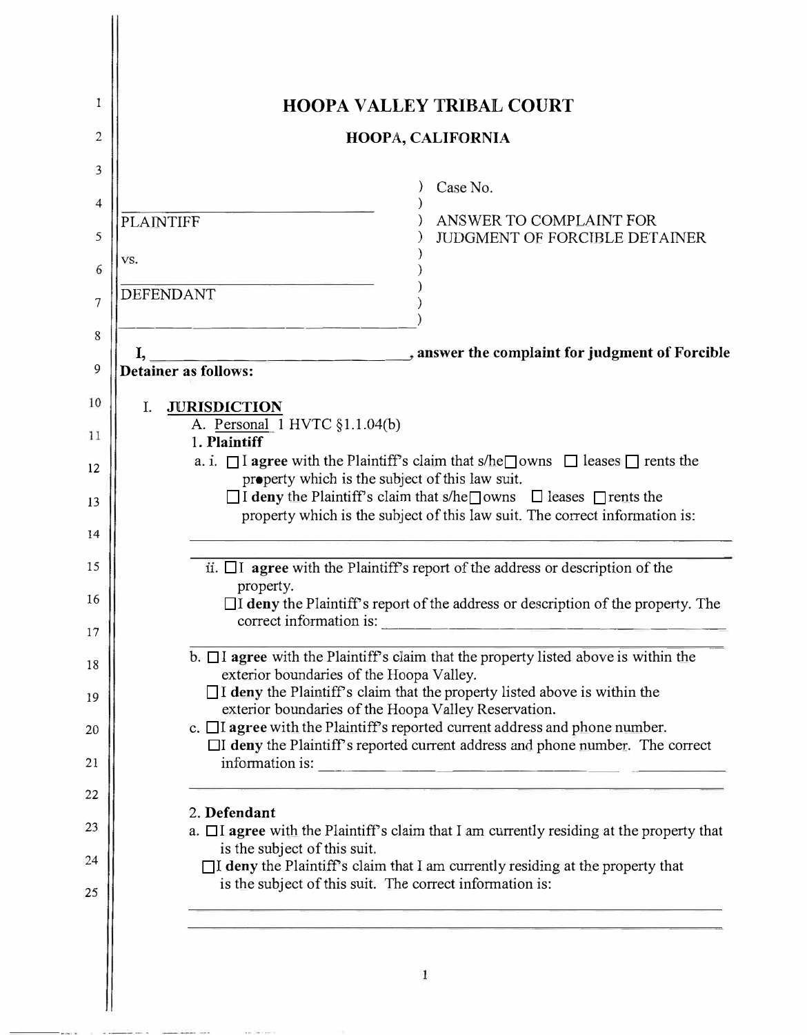| 1  | <b>HOOPA VALLEY TRIBAL COURT</b>                                                                                                                                          |
|----|---------------------------------------------------------------------------------------------------------------------------------------------------------------------------|
| 2  | HOOPA, CALIFORNIA                                                                                                                                                         |
| 3  |                                                                                                                                                                           |
| 4  | Case No.                                                                                                                                                                  |
| 5  | <b>PLAINTIFF</b><br>ANSWER TO COMPLAINT FOR<br>JUDGMENT OF FORCIBLE DETAINER                                                                                              |
| 6  | vs.                                                                                                                                                                       |
| 7  | <b>DEFENDANT</b>                                                                                                                                                          |
| 8  |                                                                                                                                                                           |
| 9  | , answer the complaint for judgment of Forcible<br>I,<br>Detainer as follows:                                                                                             |
| 10 |                                                                                                                                                                           |
| 11 | <b>JURISDICTION</b><br>I.<br>A. Personal 1 HVTC §1.1.04(b)                                                                                                                |
| 12 | 1. Plaintiff<br>a. i. $\Box$ I agree with the Plaintiff's claim that s/he $\Box$ owns $\Box$ leases $\Box$ rents the                                                      |
|    | property which is the subject of this law suit.<br>$\Box$ I deny the Plaintiff's claim that s/he $\Box$ owns $\Box$ leases $\Box$ rents the                               |
| 13 | property which is the subject of this law suit. The correct information is:                                                                                               |
| 14 |                                                                                                                                                                           |
| 15 | ii. $\Box$ I agree with the Plaintiff's report of the address or description of the<br>property.                                                                          |
| 16 | □I deny the Plaintiff's report of the address or description of the property. The<br>correct information is:                                                              |
| 17 | b. $\Box$ I agree with the Plaintiff's claim that the property listed above is within the                                                                                 |
| 18 | exterior boundaries of the Hoopa Valley.                                                                                                                                  |
| 19 | $\Box$ I deny the Plaintiff's claim that the property listed above is within the<br>exterior boundaries of the Hoopa Valley Reservation.                                  |
| 20 | c. $\Box$ I agree with the Plaintiff's reported current address and phone number.<br>$\Box$ I deny the Plaintiff's reported current address and phone number. The correct |
| 21 | information is:                                                                                                                                                           |
| 22 |                                                                                                                                                                           |
| 23 | 2. Defendant<br>a. □I agree with the Plaintiff's claim that I am currently residing at the property that                                                                  |
| 24 | is the subject of this suit.<br>$\Box$ I deny the Plaintiff's claim that I am currently residing at the property that                                                     |
| 25 | is the subject of this suit. The correct information is:                                                                                                                  |
|    |                                                                                                                                                                           |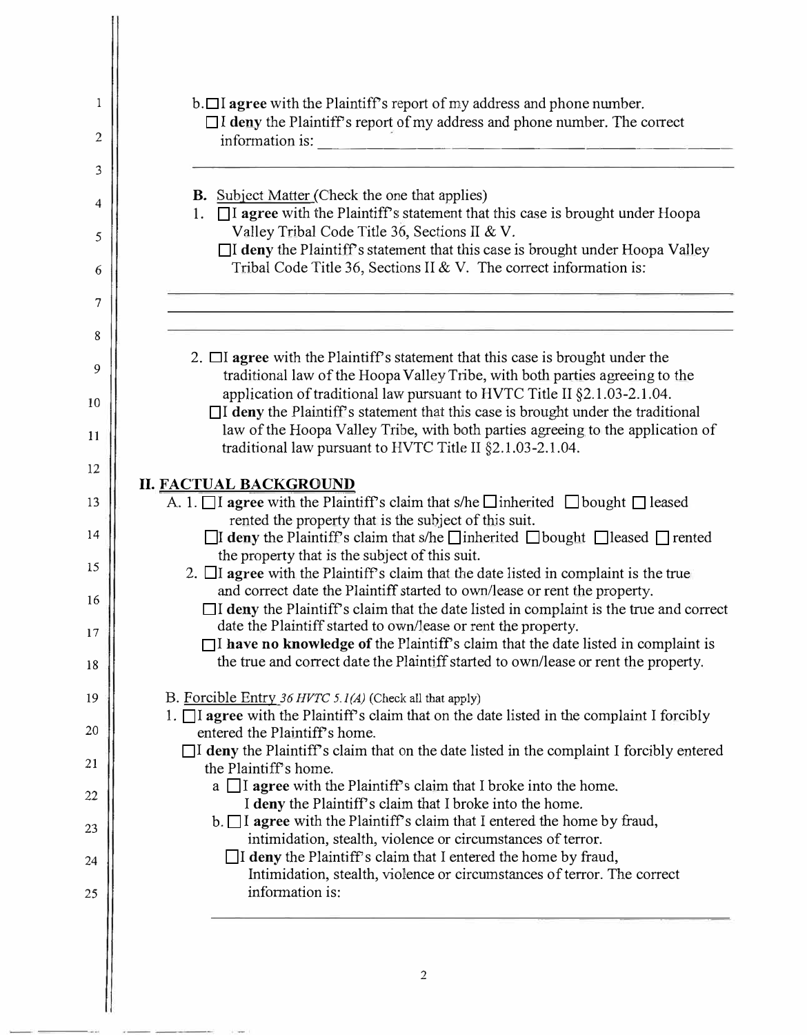| 1  | $b.\Box$ I agree with the Plaintiff's report of my address and phone number.<br>$\Box$ I deny the Plaintiff's report of my address and phone number. The correct      |
|----|-----------------------------------------------------------------------------------------------------------------------------------------------------------------------|
| 2  | information is:                                                                                                                                                       |
| 3  |                                                                                                                                                                       |
| 4  | <b>B.</b> Subject Matter (Check the one that applies)<br>1. $\Box$ I agree with the Plaintiff's statement that this case is brought under Hoopa                       |
| 5  | Valley Tribal Code Title 36, Sections II & V.<br>$\Box$ I deny the Plaintiff's statement that this case is brought under Hoopa Valley                                 |
| 6  | Tribal Code Title 36, Sections II & V. The correct information is:                                                                                                    |
| 7  |                                                                                                                                                                       |
| 8  |                                                                                                                                                                       |
| 9  | 2. $\Box$ I agree with the Plaintiff's statement that this case is brought under the<br>traditional law of the Hoopa Valley Tribe, with both parties agreeing to the  |
| 10 | application of traditional law pursuant to HVTC Title II §2.1.03-2.1.04.<br>$\Box$ I deny the Plaintiff's statement that this case is brought under the traditional   |
| 11 | law of the Hoopa Valley Tribe, with both parties agreeing to the application of<br>traditional law pursuant to HVTC Title II §2.1.03-2.1.04.                          |
| 12 |                                                                                                                                                                       |
| 13 | <b>II. FACTUAL BACKGROUND</b><br>A. 1. $\Box$ I agree with the Plaintiff's claim that s/he $\Box$ inherited $\Box$ bought $\Box$ leased                               |
| 14 | rented the property that is the subject of this suit.                                                                                                                 |
|    | $\Box$ I deny the Plaintiff's claim that s/he $\Box$ inherited $\Box$ bought $\Box$ leased $\Box$ rented<br>the property that is the subject of this suit.            |
| 15 | 2. $\Box$ agree with the Plaintiff's claim that the date listed in complaint is the true<br>and correct date the Plaintiff started to own/lease or rent the property. |
| 16 | $\Box$ I deny the Plaintiff's claim that the date listed in complaint is the true and correct                                                                         |
| 17 | date the Plaintiff started to own/lease or rent the property.<br>$\Box$ have no knowledge of the Plaintiff's claim that the date listed in complaint is               |
| 18 | the true and correct date the Plaintiff started to own/lease or rent the property.                                                                                    |
| 19 | B. Forcible Entry 36 HVTC 5.1(A) (Check all that apply)                                                                                                               |
| 20 | 1. $\Box$ I agree with the Plaintiff's claim that on the date listed in the complaint I forcibly<br>entered the Plaintiff's home.                                     |
| 21 | $\Box$ I deny the Plaintiff's claim that on the date listed in the complaint I forcibly entered<br>the Plaintiff's home.                                              |
| 22 | $a \Box I$ agree with the Plaintiff's claim that I broke into the home.                                                                                               |
|    | I deny the Plaintiff's claim that I broke into the home.<br>$\mathbf{b}$ . $\Box$ I agree with the Plaintiff's claim that I entered the home by fraud,                |
| 23 | intimidation, stealth, violence or circumstances of terror.                                                                                                           |
| 24 | $\Box$ I deny the Plaintiff's claim that I entered the home by fraud,<br>Intimidation, stealth, violence or circumstances of terror. The correct                      |
| 25 | information is:                                                                                                                                                       |
|    |                                                                                                                                                                       |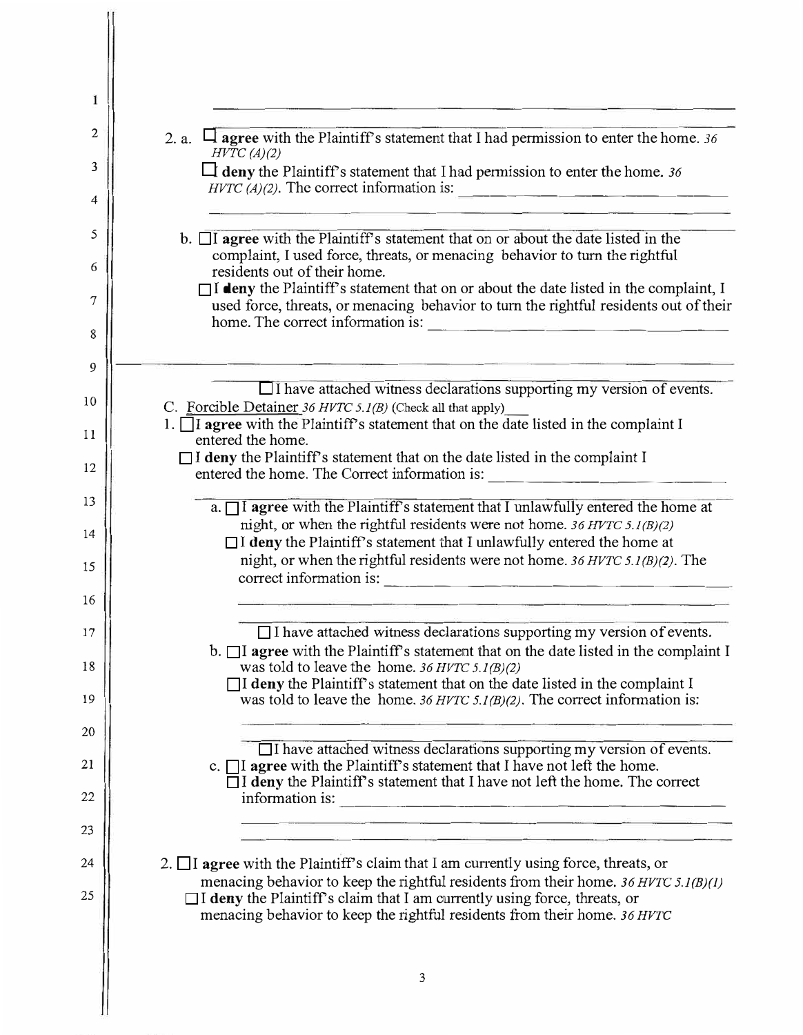| 1  |                                                                                                                                                                                                                                                                                                                                                                                               |
|----|-----------------------------------------------------------------------------------------------------------------------------------------------------------------------------------------------------------------------------------------------------------------------------------------------------------------------------------------------------------------------------------------------|
| 2  | 2. a. $\Box$ agree with the Plaintiff's statement that I had permission to enter the home. 36<br>HVTC(A)(2)                                                                                                                                                                                                                                                                                   |
| 3  | $\Box$ deny the Plaintiff's statement that I had permission to enter the home. 36                                                                                                                                                                                                                                                                                                             |
| 4  | $HVTC(A)(2)$ . The correct information is:                                                                                                                                                                                                                                                                                                                                                    |
| 5  | b. $\Box$ agree with the Plaintiff's statement that on or about the date listed in the                                                                                                                                                                                                                                                                                                        |
| 6  | complaint, I used force, threats, or menacing behavior to turn the rightful<br>residents out of their home.                                                                                                                                                                                                                                                                                   |
| 7  | If deny the Plaintiff's statement that on or about the date listed in the complaint, I<br>used force, threats, or menacing behavior to turn the rightful residents out of their                                                                                                                                                                                                               |
| 8  | home. The correct information is:                                                                                                                                                                                                                                                                                                                                                             |
| 9  |                                                                                                                                                                                                                                                                                                                                                                                               |
| 10 | □ I have attached witness declarations supporting my version of events.<br>C. Forcible Detainer $36 HVTC 5.1(B)$ (Check all that apply)                                                                                                                                                                                                                                                       |
| 11 | 1. $\Box$ I agree with the Plaintiff's statement that on the date listed in the complaint I<br>entered the home.                                                                                                                                                                                                                                                                              |
| 12 | $\Box$ I deny the Plaintiff's statement that on the date listed in the complaint I<br>entered the home. The Correct information is:<br><u> 1980 - Johann Barnett, fransk komponent (</u>                                                                                                                                                                                                      |
| 13 | a. $\Box$ I agree with the Plaintiff's statement that I unlawfully entered the home at                                                                                                                                                                                                                                                                                                        |
| 14 | night, or when the rightful residents were not home. $36 HVTC 5.1(B)(2)$<br>$\Box$ I deny the Plaintiff's statement that I unlawfully entered the home at                                                                                                                                                                                                                                     |
| 15 | night, or when the rightful residents were not home. 36 HVTC 5.1(B)(2). The<br>correct information is: $\frac{1}{2}$ $\frac{1}{2}$ $\frac{1}{2}$ $\frac{1}{2}$ $\frac{1}{2}$ $\frac{1}{2}$ $\frac{1}{2}$ $\frac{1}{2}$ $\frac{1}{2}$ $\frac{1}{2}$ $\frac{1}{2}$ $\frac{1}{2}$ $\frac{1}{2}$ $\frac{1}{2}$ $\frac{1}{2}$ $\frac{1}{2}$ $\frac{1}{2}$ $\frac{1}{2}$ $\frac{1}{2}$ $\frac{1}{2$ |
| 16 |                                                                                                                                                                                                                                                                                                                                                                                               |
| 17 | $\Box$ I have attached witness declarations supporting my version of events.                                                                                                                                                                                                                                                                                                                  |
| 18 | $b.$ $\Box$ I agree with the Plaintiff's statement that on the date listed in the complaint I<br>was told to leave the home. 36 HVTC 5.1(B)(2)                                                                                                                                                                                                                                                |
| 19 | $\Box$ I deny the Plaintiff's statement that on the date listed in the complaint I<br>was told to leave the home. $36 HVTC 5.1(B)(2)$ . The correct information is:                                                                                                                                                                                                                           |
| 20 |                                                                                                                                                                                                                                                                                                                                                                                               |
| 21 | $\Box$ I have attached witness declarations supporting my version of events.<br>c. $\Box$ I agree with the Plaintiff's statement that I have not left the home.                                                                                                                                                                                                                               |
| 22 | $\Box$ I deny the Plaintiff's statement that I have not left the home. The correct<br>information is:<br><u> 1980 - Jan Barnett, fransk politik (d. 1980)</u>                                                                                                                                                                                                                                 |
| 23 |                                                                                                                                                                                                                                                                                                                                                                                               |
| 24 | 2. $\Box$ I agree with the Plaintiff's claim that I am currently using force, threats, or                                                                                                                                                                                                                                                                                                     |
| 25 | menacing behavior to keep the rightful residents from their home. $36 HVTC 5.1(B)(1)$<br>$\Box$ I deny the Plaintiff's claim that I am currently using force, threats, or<br>menacing behavior to keep the rightful residents from their home. 36 HVTC                                                                                                                                        |
|    |                                                                                                                                                                                                                                                                                                                                                                                               |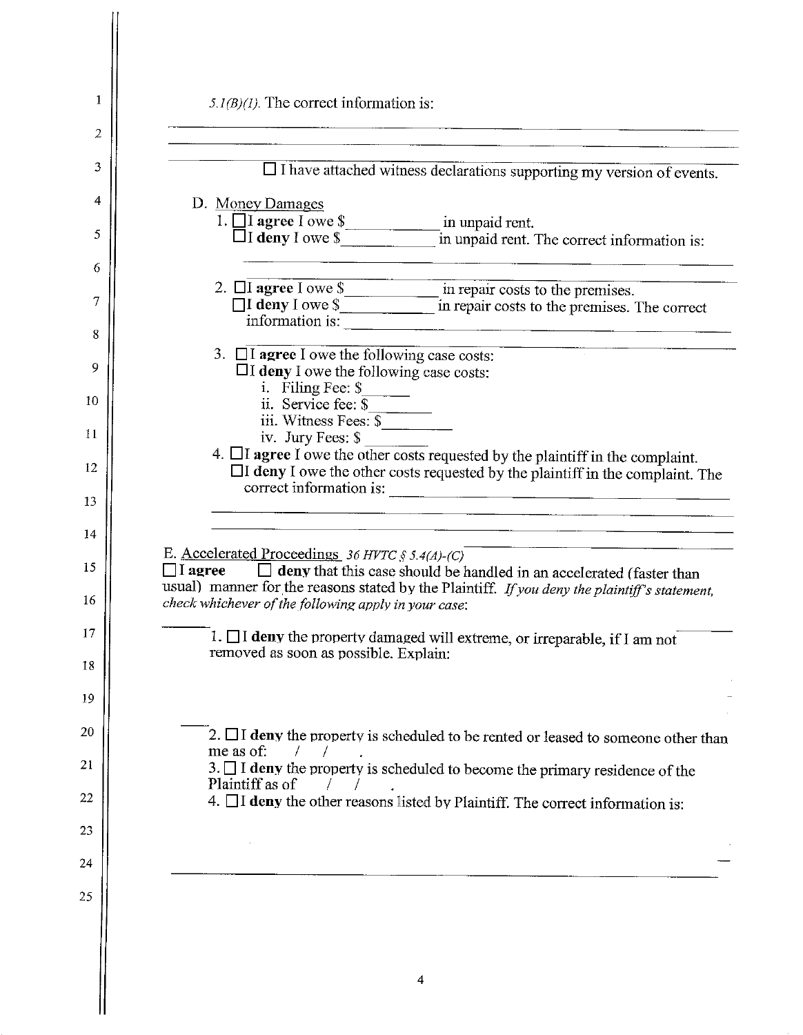| 1  | $5.1(B)(1)$ . The correct information is:                                                                                                                                    |
|----|------------------------------------------------------------------------------------------------------------------------------------------------------------------------------|
| 2  |                                                                                                                                                                              |
| 3  | $\Box$ I have attached witness declarations supporting my version of events.                                                                                                 |
| 4  | D. Money Damages                                                                                                                                                             |
| 5  |                                                                                                                                                                              |
| 6  |                                                                                                                                                                              |
| 7  | $\Box$ I deny I owe $\sqrt{\frac{2}{\Box}}$ in repair costs to the premises. The correct<br>information is:                                                                  |
| 8  | 3. $\Box$ <b>I</b> agree I owe the following case costs:                                                                                                                     |
| 9  | $\Box$ I deny I owe the following case costs:                                                                                                                                |
| 10 | i. Filing Fee: \$<br>ii. Service fee: \$                                                                                                                                     |
| 11 | iv. Jury Fees: \$                                                                                                                                                            |
| 12 | 4. $\Box$ I agree I owe the other costs requested by the plaintiff in the complaint.<br>$\Box$ I deny I owe the other costs requested by the plaintiff in the complaint. The |
| 13 | correct information is:                                                                                                                                                      |
| 14 |                                                                                                                                                                              |
| 15 | E. Accelerated Proceedings 36 HVTC § 5.4(A)-(C)<br>$\Box$ deny that this case should be handled in an accelerated (faster than<br>$\Box$ l agree                             |
| 16 | usual) manner for the reasons stated by the Plaintiff. If you deny the plaintiff's statement,<br>check whichever of the following apply in your case.                        |
| 17 | 1. I deny the property damaged will extreme, or irreparable, if I am not                                                                                                     |
| 18 | removed as soon as possible. Explain:                                                                                                                                        |
| 19 |                                                                                                                                                                              |
| 20 | 2. $\Box$ I deny the property is scheduled to be rented or leased to someone other than                                                                                      |
| 21 | me as of:<br>$3. \Box$ I deny the property is scheduled to become the primary residence of the                                                                               |
| 22 | Plaintiff as of<br>4. $\Box$ I deny the other reasons listed by Plaintiff. The correct information is:                                                                       |
| 23 |                                                                                                                                                                              |
| 24 |                                                                                                                                                                              |
| 25 |                                                                                                                                                                              |
|    |                                                                                                                                                                              |
|    |                                                                                                                                                                              |

 $\blacksquare$ 

 $\mathsf{I}$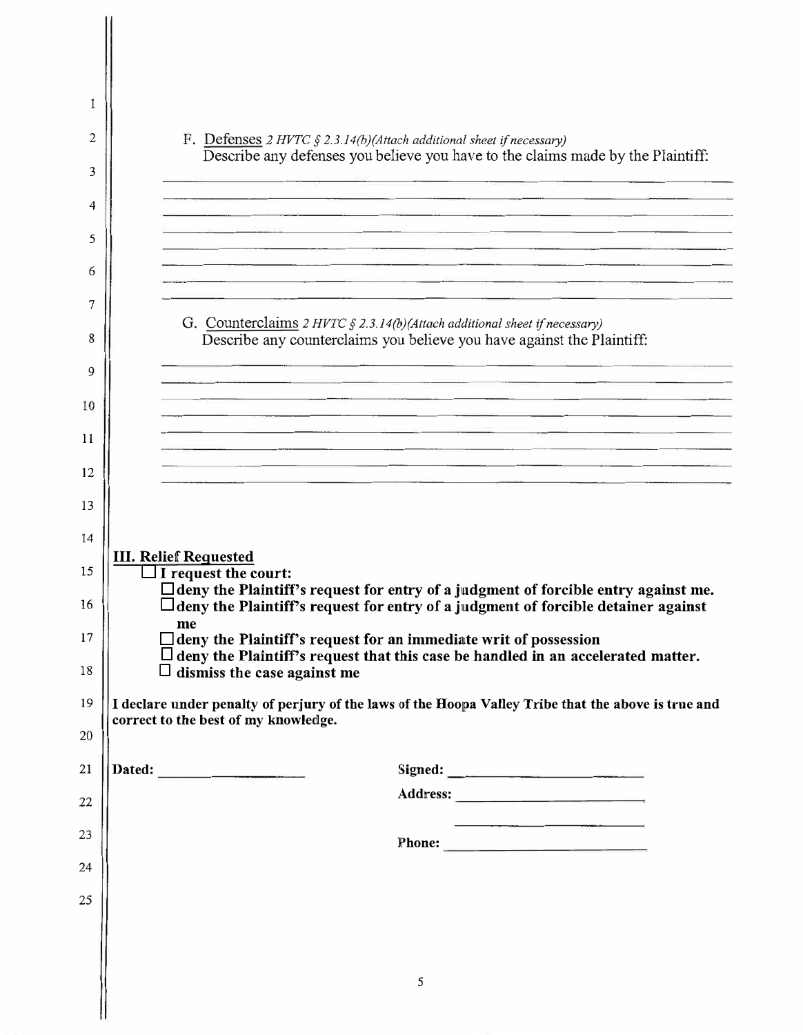| 2<br>3<br>4<br>5<br>6<br>7<br>8<br>9<br>10<br>11<br>12 | F. Defenses 2 HVTC $\S$ 2.3.14(b)(Attach additional sheet if necessary)<br>Describe any defenses you believe you have to the claims made by the Plaintiff:<br>G. Counterclaims $2$ HVTC § 2.3.14(b)(Attach additional sheet if necessary)<br>Describe any counterclaims you believe you have against the Plaintiff: |
|--------------------------------------------------------|---------------------------------------------------------------------------------------------------------------------------------------------------------------------------------------------------------------------------------------------------------------------------------------------------------------------|
| 13                                                     |                                                                                                                                                                                                                                                                                                                     |
| 14                                                     | <b>III. Relief Requested</b>                                                                                                                                                                                                                                                                                        |
| 15                                                     | $\Box$ I request the court:<br>Ideny the Plaintiff's request for entry of a judgment of forcible entry against me.                                                                                                                                                                                                  |
| 16                                                     | deny the Plaintiff's request for entry of a judgment of forcible detainer against<br>me                                                                                                                                                                                                                             |
| 17                                                     | deny the Plaintiff's request for an immediate writ of possession<br>$\Box$ deny the Plaintiff's request that this case be handled in an accelerated matter.                                                                                                                                                         |
| 18                                                     | dismiss the case against me                                                                                                                                                                                                                                                                                         |
| 19                                                     | I declare under penalty of perjury of the laws of the Hoopa Valley Tribe that the above is true and<br>correct to the best of my knowledge.                                                                                                                                                                         |
| 20                                                     |                                                                                                                                                                                                                                                                                                                     |
| 21                                                     |                                                                                                                                                                                                                                                                                                                     |
| 22                                                     | <u> The Communication of the Communication of the Communication of the Communication of the Communication of the Co</u>                                                                                                                                                                                             |
| 23                                                     |                                                                                                                                                                                                                                                                                                                     |
| 24                                                     |                                                                                                                                                                                                                                                                                                                     |
| 25                                                     |                                                                                                                                                                                                                                                                                                                     |
|                                                        |                                                                                                                                                                                                                                                                                                                     |
|                                                        |                                                                                                                                                                                                                                                                                                                     |

 $\overline{\mathbf{u}}$ 

 $\frac{1}{2}$